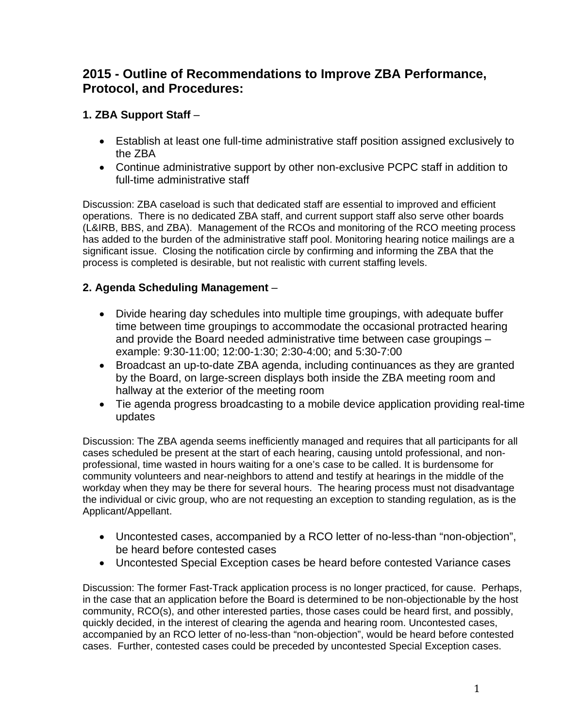# **2015 - Outline of Recommendations to Improve ZBA Performance, Protocol, and Procedures:**

## **1. ZBA Support Staff** –

- Establish at least one full-time administrative staff position assigned exclusively to the ZBA
- Continue administrative support by other non-exclusive PCPC staff in addition to full-time administrative staff

Discussion: ZBA caseload is such that dedicated staff are essential to improved and efficient operations. There is no dedicated ZBA staff, and current support staff also serve other boards (L&IRB, BBS, and ZBA). Management of the RCOs and monitoring of the RCO meeting process has added to the burden of the administrative staff pool. Monitoring hearing notice mailings are a significant issue. Closing the notification circle by confirming and informing the ZBA that the process is completed is desirable, but not realistic with current staffing levels.

## **2. Agenda Scheduling Management** –

- Divide hearing day schedules into multiple time groupings, with adequate buffer time between time groupings to accommodate the occasional protracted hearing and provide the Board needed administrative time between case groupings – example: 9:30-11:00; 12:00-1:30; 2:30-4:00; and 5:30-7:00
- Broadcast an up-to-date ZBA agenda, including continuances as they are granted by the Board, on large-screen displays both inside the ZBA meeting room and hallway at the exterior of the meeting room
- Tie agenda progress broadcasting to a mobile device application providing real-time updates

Discussion: The ZBA agenda seems inefficiently managed and requires that all participants for all cases scheduled be present at the start of each hearing, causing untold professional, and nonprofessional, time wasted in hours waiting for a one's case to be called. It is burdensome for community volunteers and near-neighbors to attend and testify at hearings in the middle of the workday when they may be there for several hours. The hearing process must not disadvantage the individual or civic group, who are not requesting an exception to standing regulation, as is the Applicant/Appellant.

- Uncontested cases, accompanied by a RCO letter of no-less-than "non-objection", be heard before contested cases
- Uncontested Special Exception cases be heard before contested Variance cases

Discussion: The former Fast-Track application process is no longer practiced, for cause. Perhaps, in the case that an application before the Board is determined to be non-objectionable by the host community, RCO(s), and other interested parties, those cases could be heard first, and possibly, quickly decided, in the interest of clearing the agenda and hearing room. Uncontested cases, accompanied by an RCO letter of no-less-than "non-objection", would be heard before contested cases. Further, contested cases could be preceded by uncontested Special Exception cases.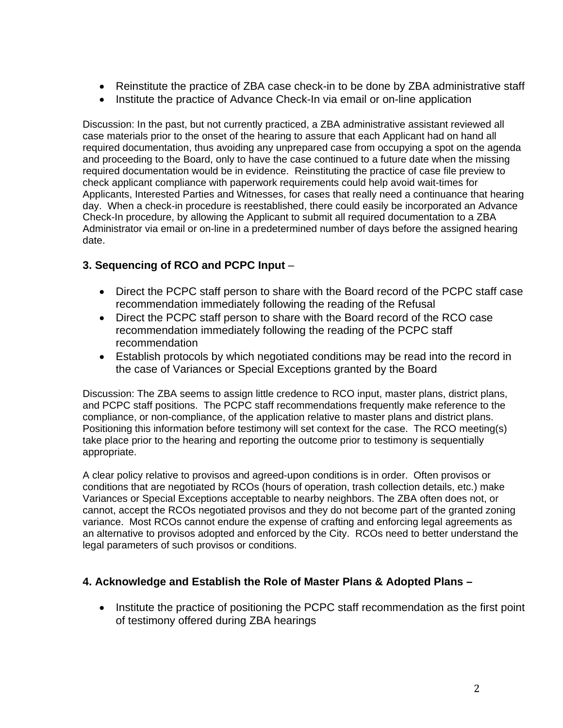- Reinstitute the practice of ZBA case check-in to be done by ZBA administrative staff
- Institute the practice of Advance Check-In via email or on-line application

Discussion: In the past, but not currently practiced, a ZBA administrative assistant reviewed all case materials prior to the onset of the hearing to assure that each Applicant had on hand all required documentation, thus avoiding any unprepared case from occupying a spot on the agenda and proceeding to the Board, only to have the case continued to a future date when the missing required documentation would be in evidence. Reinstituting the practice of case file preview to check applicant compliance with paperwork requirements could help avoid wait-times for Applicants, Interested Parties and Witnesses, for cases that really need a continuance that hearing day. When a check-in procedure is reestablished, there could easily be incorporated an Advance Check-In procedure, by allowing the Applicant to submit all required documentation to a ZBA Administrator via email or on-line in a predetermined number of days before the assigned hearing date.

## **3. Sequencing of RCO and PCPC Input** –

- Direct the PCPC staff person to share with the Board record of the PCPC staff case recommendation immediately following the reading of the Refusal
- Direct the PCPC staff person to share with the Board record of the RCO case recommendation immediately following the reading of the PCPC staff recommendation
- Establish protocols by which negotiated conditions may be read into the record in the case of Variances or Special Exceptions granted by the Board

Discussion: The ZBA seems to assign little credence to RCO input, master plans, district plans, and PCPC staff positions. The PCPC staff recommendations frequently make reference to the compliance, or non-compliance, of the application relative to master plans and district plans. Positioning this information before testimony will set context for the case. The RCO meeting(s) take place prior to the hearing and reporting the outcome prior to testimony is sequentially appropriate.

A clear policy relative to provisos and agreed-upon conditions is in order. Often provisos or conditions that are negotiated by RCOs (hours of operation, trash collection details, etc.) make Variances or Special Exceptions acceptable to nearby neighbors. The ZBA often does not, or cannot, accept the RCOs negotiated provisos and they do not become part of the granted zoning variance. Most RCOs cannot endure the expense of crafting and enforcing legal agreements as an alternative to provisos adopted and enforced by the City. RCOs need to better understand the legal parameters of such provisos or conditions.

#### **4. Acknowledge and Establish the Role of Master Plans & Adopted Plans –**

• Institute the practice of positioning the PCPC staff recommendation as the first point of testimony offered during ZBA hearings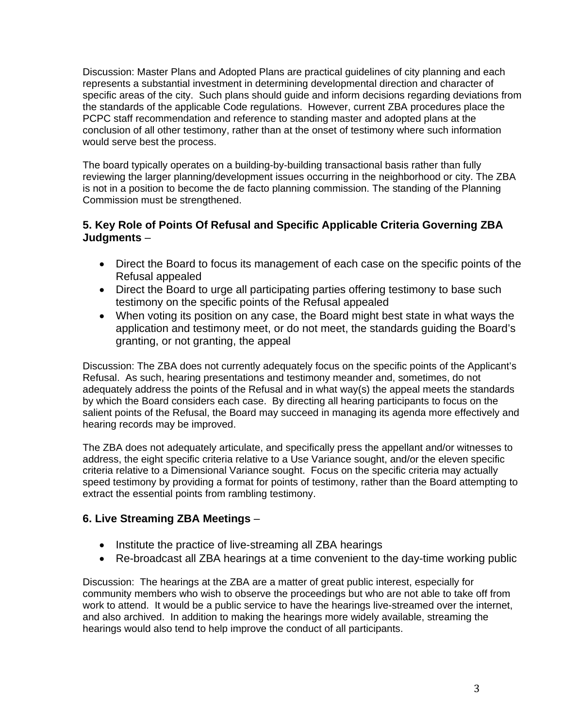Discussion: Master Plans and Adopted Plans are practical guidelines of city planning and each represents a substantial investment in determining developmental direction and character of specific areas of the city. Such plans should guide and inform decisions regarding deviations from the standards of the applicable Code regulations. However, current ZBA procedures place the PCPC staff recommendation and reference to standing master and adopted plans at the conclusion of all other testimony, rather than at the onset of testimony where such information would serve best the process.

The board typically operates on a building-by-building transactional basis rather than fully reviewing the larger planning/development issues occurring in the neighborhood or city. The ZBA is not in a position to become the de facto planning commission. The standing of the Planning Commission must be strengthened.

#### **5. Key Role of Points Of Refusal and Specific Applicable Criteria Governing ZBA Judgments** –

- Direct the Board to focus its management of each case on the specific points of the Refusal appealed
- Direct the Board to urge all participating parties offering testimony to base such testimony on the specific points of the Refusal appealed
- When voting its position on any case, the Board might best state in what ways the application and testimony meet, or do not meet, the standards guiding the Board's granting, or not granting, the appeal

Discussion: The ZBA does not currently adequately focus on the specific points of the Applicant's Refusal. As such, hearing presentations and testimony meander and, sometimes, do not adequately address the points of the Refusal and in what way(s) the appeal meets the standards by which the Board considers each case. By directing all hearing participants to focus on the salient points of the Refusal, the Board may succeed in managing its agenda more effectively and hearing records may be improved.

The ZBA does not adequately articulate, and specifically press the appellant and/or witnesses to address, the eight specific criteria relative to a Use Variance sought, and/or the eleven specific criteria relative to a Dimensional Variance sought. Focus on the specific criteria may actually speed testimony by providing a format for points of testimony, rather than the Board attempting to extract the essential points from rambling testimony.

#### **6. Live Streaming ZBA Meetings** –

- Institute the practice of live-streaming all ZBA hearings
- Re-broadcast all ZBA hearings at a time convenient to the day-time working public

Discussion: The hearings at the ZBA are a matter of great public interest, especially for community members who wish to observe the proceedings but who are not able to take off from work to attend. It would be a public service to have the hearings live-streamed over the internet, and also archived. In addition to making the hearings more widely available, streaming the hearings would also tend to help improve the conduct of all participants.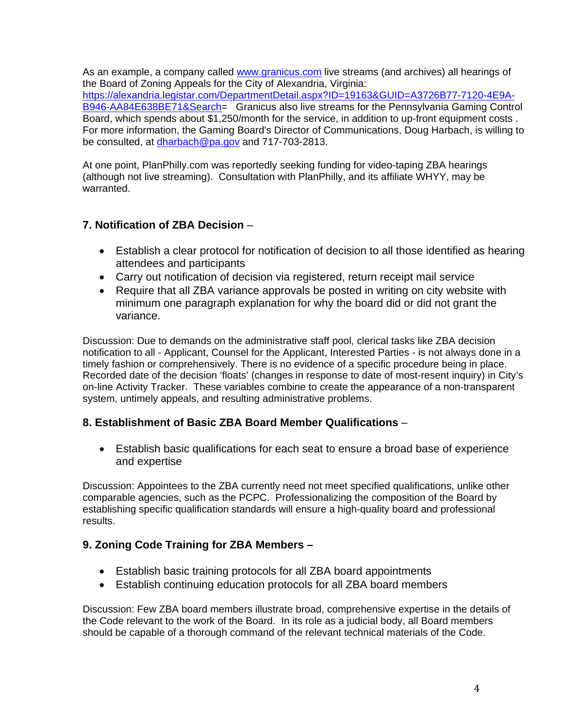As an example, a company called www.granicus.com live streams (and archives) all hearings of the Board of Zoning Appeals for the City of Alexandria, Virginia: https://alexandria.legistar.com/DepartmentDetail.aspx?ID=19163&GUID=A3726B77-7120-4E9A-B946-AA84E638BE71&Search= Granicus also live streams for the Pennsylvania Gaming Control Board, which spends about \$1,250/month for the service, in addition to up-front equipment costs . For more information, the Gaming Board's Director of Communications, Doug Harbach, is willing to be consulted, at dharbach@pa.gov and 717-703-2813.

At one point, PlanPhilly.com was reportedly seeking funding for video-taping ZBA hearings (although not live streaming). Consultation with PlanPhilly, and its affiliate WHYY, may be warranted.

#### **7. Notification of ZBA Decision** –

- Establish a clear protocol for notification of decision to all those identified as hearing attendees and participants
- Carry out notification of decision via registered, return receipt mail service
- Require that all ZBA variance approvals be posted in writing on city website with minimum one paragraph explanation for why the board did or did not grant the variance.

Discussion: Due to demands on the administrative staff pool, clerical tasks like ZBA decision notification to all - Applicant, Counsel for the Applicant, Interested Parties - is not always done in a timely fashion or comprehensively. There is no evidence of a specific procedure being in place. Recorded date of the decision 'floats' (changes in response to date of most-resent inquiry) in City's on-line Activity Tracker. These variables combine to create the appearance of a non-transparent system, untimely appeals, and resulting administrative problems.

#### **8. Establishment of Basic ZBA Board Member Qualifications** –

 Establish basic qualifications for each seat to ensure a broad base of experience and expertise

Discussion: Appointees to the ZBA currently need not meet specified qualifications, unlike other comparable agencies, such as the PCPC. Professionalizing the composition of the Board by establishing specific qualification standards will ensure a high-quality board and professional results.

#### **9. Zoning Code Training for ZBA Members –**

- Establish basic training protocols for all ZBA board appointments
- Establish continuing education protocols for all ZBA board members

Discussion: Few ZBA board members illustrate broad, comprehensive expertise in the details of the Code relevant to the work of the Board. In its role as a judicial body, all Board members should be capable of a thorough command of the relevant technical materials of the Code.